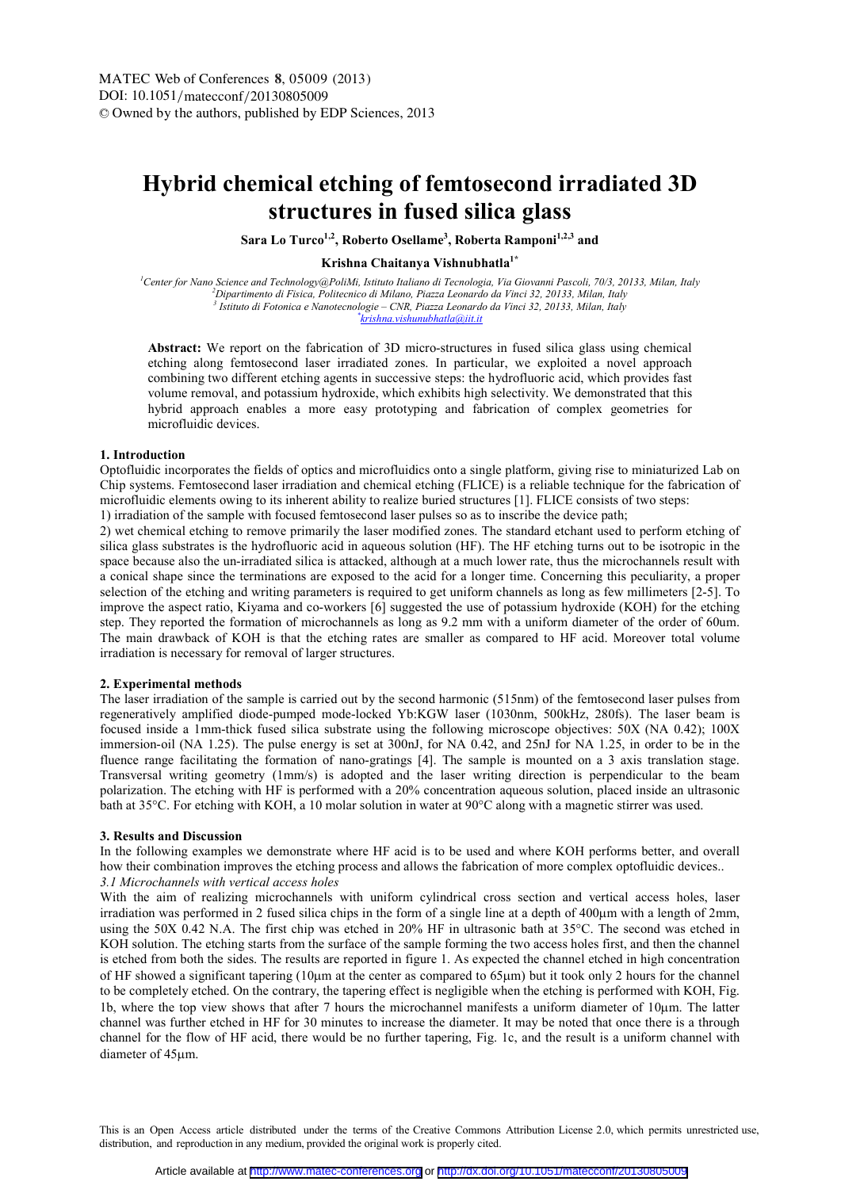# **Hybrid chemical etching of femtosecond irradiated 3D structures in fused silica glass**

**Sara Lo Turco1,2, Roberto Osellame<sup>3</sup> , Roberta Ramponi1,2,3 and** 

# **Krishna Chaitanya Vishnubhatla1\***

*<sup>1</sup>Center for Nano Science and Technology@PoliMi, Istituto Italiano di Tecnologia, Via Giovanni Pascoli, 70/3, 20133, Milan, Italy <sup>2</sup>Dipartimento di Fisica, Politecnico di Milano, Piazza Leonardo da Vinci 32, 20133, Milan, Italy 3 Istituto di Fotonica e Nanotecnologie – CNR, Piazza Leonardo da Vinci 32, 20133, Milan, Italy \* krishna.vishunubhatla@iit.it* 

**Abstract:** We report on the fabrication of 3D micro-structures in fused silica glass using chemical etching along femtosecond laser irradiated zones. In particular, we exploited a novel approach combining two different etching agents in successive steps: the hydrofluoric acid, which provides fast volume removal, and potassium hydroxide, which exhibits high selectivity. We demonstrated that this hybrid approach enables a more easy prototyping and fabrication of complex geometries for microfluidic devices.

### **1. Introduction**

Optofluidic incorporates the fields of optics and microfluidics onto a single platform, giving rise to miniaturized Lab on Chip systems. Femtosecond laser irradiation and chemical etching (FLICE) is a reliable technique for the fabrication of microfluidic elements owing to its inherent ability to realize buried structures [1]. FLICE consists of two steps: 1) irradiation of the sample with focused femtosecond laser pulses so as to inscribe the device path;

2) wet chemical etching to remove primarily the laser modified zones. The standard etchant used to perform etching of silica glass substrates is the hydrofluoric acid in aqueous solution (HF). The HF etching turns out to be isotropic in the space because also the un-irradiated silica is attacked, although at a much lower rate, thus the microchannels result with a conical shape since the terminations are exposed to the acid for a longer time. Concerning this peculiarity, a proper selection of the etching and writing parameters is required to get uniform channels as long as few millimeters [2-5]. To improve the aspect ratio, Kiyama and co-workers [6] suggested the use of potassium hydroxide (KOH) for the etching step. They reported the formation of microchannels as long as 9.2 mm with a uniform diameter of the order of 60um. The main drawback of KOH is that the etching rates are smaller as compared to HF acid. Moreover total volume irradiation is necessary for removal of larger structures.

#### **2. Experimental methods**

The laser irradiation of the sample is carried out by the second harmonic (515nm) of the femtosecond laser pulses from regeneratively amplified diode-pumped mode-locked Yb:KGW laser (1030nm, 500kHz, 280fs). The laser beam is focused inside a 1mm-thick fused silica substrate using the following microscope objectives: 50X (NA 0.42); 100X immersion-oil (NA 1.25). The pulse energy is set at 300nJ, for NA 0.42, and 25nJ for NA 1.25, in order to be in the fluence range facilitating the formation of nano-gratings [4]. The sample is mounted on a 3 axis translation stage. Transversal writing geometry (1mm/s) is adopted and the laser writing direction is perpendicular to the beam polarization. The etching with HF is performed with a 20% concentration aqueous solution, placed inside an ultrasonic bath at 35°C. For etching with KOH, a 10 molar solution in water at 90°C along with a magnetic stirrer was used.

### **3. Results and Discussion**

In the following examples we demonstrate where HF acid is to be used and where KOH performs better, and overall how their combination improves the etching process and allows the fabrication of more complex optofluidic devices.. *3.1 Microchannels with vertical access holes*

With the aim of realizing microchannels with uniform cylindrical cross section and vertical access holes, laser irradiation was performed in 2 fused silica chips in the form of a single line at a depth of 400µm with a length of 2mm, using the 50X 0.42 N.A. The first chip was etched in 20% HF in ultrasonic bath at 35°C. The second was etched in KOH solution. The etching starts from the surface of the sample forming the two access holes first, and then the channel is etched from both the sides. The results are reported in figure 1. As expected the channel etched in high concentration of HF showed a significant tapering (10µm at the center as compared to 65µm) but it took only 2 hours for the channel to be completely etched. On the contrary, the tapering effect is negligible when the etching is performed with KOH, Fig. 1b, where the top view shows that after 7 hours the microchannel manifests a uniform diameter of 10µm. The latter channel was further etched in HF for 30 minutes to increase the diameter. It may be noted that once there is a through channel for the flow of HF acid, there would be no further tapering, Fig. 1c, and the result is a uniform channel with diameter of 45µm.

This is an Open Access article distributed under the terms of the Creative Commons Attribution License 2.0, which permits unrestricted use, distribution, and reproduction in any medium, provided the original work is properly cited.